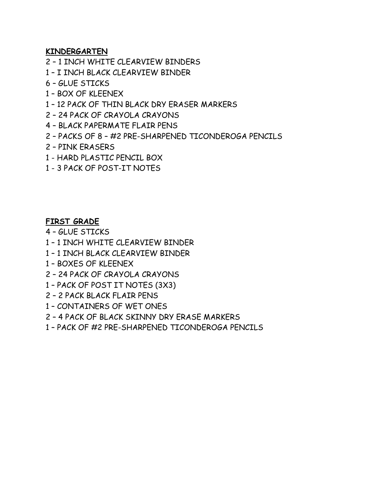## **KINDERGARTEN**

- 1 INCH WHITE CLEARVIEW BINDERS
- I INCH BLACK CLEARVIEW BINDER
- GLUE STICKS
- BOX OF KLEENEX
- 12 PACK OF THIN BLACK DRY ERASER MARKERS
- 24 PACK OF CRAYOLA CRAYONS
- BLACK PAPERMATE FLAIR PENS
- PACKS OF 8 #2 PRE-SHARPENED TICONDEROGA PENCILS
- PINK ERASERS
- 1 HARD PLASTIC PENCIL BOX
- 3 PACK OF POST-IT NOTES

## **FIRST GRADE**

– GLUE STICKS

- 1 INCH WHITE CLEARVIEW BINDER
- 1 INCH BLACK CLEARVIEW BINDER
- BOXES OF KLEENEX
- 24 PACK OF CRAYOLA CRAYONS
- PACK OF POST IT NOTES (3X3)
- 2 PACK BLACK FLAIR PENS
- CONTAINERS OF WET ONES
- 4 PACK OF BLACK SKINNY DRY ERASE MARKERS
- PACK OF #2 PRE-SHARPENED TICONDEROGA PENCILS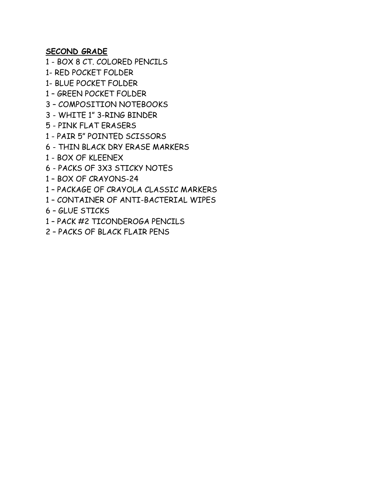**SECOND GRADE**

- BOX 8 CT. COLORED PENCILS

1- RED POCKET FOLDER

1- BLUE POCKET FOLDER

– GREEN POCKET FOLDER

– COMPOSITION NOTEBOOKS

- WHITE 1" 3-RING BINDER

- PINK FLAT ERASERS

- PAIR 5" POINTED SCISSORS

- THIN BLACK DRY ERASE MARKERS

- BOX OF KLEENEX

- PACKS OF 3X3 STICKY NOTES

– BOX OF CRAYONS-24

– PACKAGE OF CRAYOLA CLASSIC MARKERS

– CONTAINER OF ANTI-BACTERIAL WIPES

– GLUE STICKS

– PACK #2 TICONDEROGA PENCILS

– PACKS OF BLACK FLAIR PENS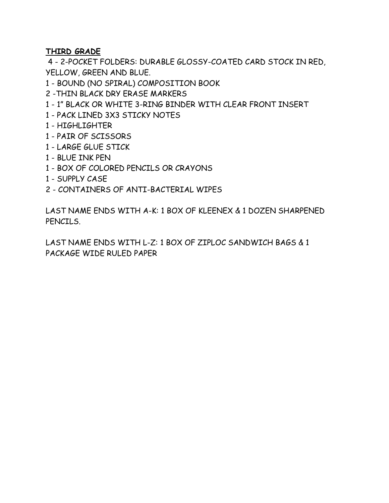## **THIRD GRADE**

 - 2-POCKET FOLDERS: DURABLE GLOSSY-COATED CARD STOCK IN RED, YELLOW, GREEN AND BLUE.

- BOUND (NO SPIRAL) COMPOSITION BOOK
- -THIN BLACK DRY ERASE MARKERS
- 1" BLACK OR WHITE 3-RING BINDER WITH CLEAR FRONT INSERT
- PACK LINED 3X3 STICKY NOTES
- HIGHLIGHTER
- PAIR OF SCISSORS
- LARGE GLUE STICK
- BLUE INK PEN
- BOX OF COLORED PENCILS OR CRAYONS
- SUPPLY CASE
- CONTAINERS OF ANTI-BACTERIAL WIPES

LAST NAME ENDS WITH A-K: 1 BOX OF KLEENEX & 1 DOZEN SHARPENED PENCILS.

LAST NAME ENDS WITH L-Z: 1 BOX OF ZIPLOC SANDWICH BAGS & 1 PACKAGE WIDE RULED PAPER